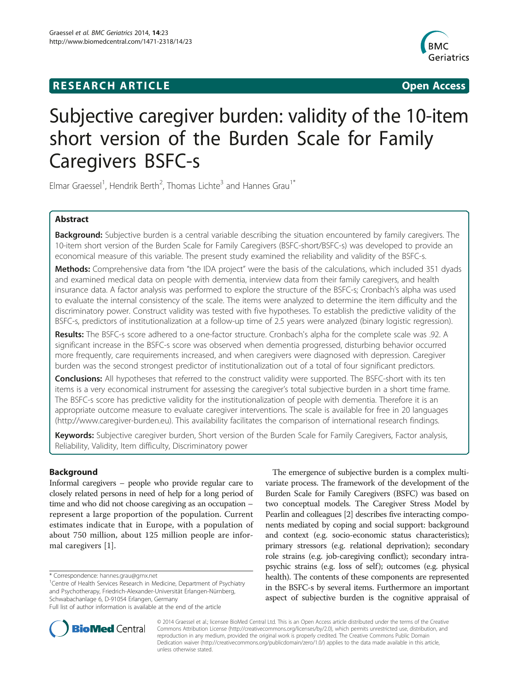# **RESEARCH ARTICLE Example 2014 12:30 The SEAR CHA RTICLE**



# Subjective caregiver burden: validity of the 10-item short version of the Burden Scale for Family Caregivers BSFC-s

Elmar Graessel<sup>1</sup>, Hendrik Berth<sup>2</sup>, Thomas Lichte<sup>3</sup> and Hannes Grau<sup>1\*</sup>

# Abstract

Background: Subjective burden is a central variable describing the situation encountered by family caregivers. The 10-item short version of the Burden Scale for Family Caregivers (BSFC-short/BSFC-s) was developed to provide an economical measure of this variable. The present study examined the reliability and validity of the BSFC-s.

Methods: Comprehensive data from "the IDA project" were the basis of the calculations, which included 351 dyads and examined medical data on people with dementia, interview data from their family caregivers, and health insurance data. A factor analysis was performed to explore the structure of the BSFC-s; Cronbach's alpha was used to evaluate the internal consistency of the scale. The items were analyzed to determine the item difficulty and the discriminatory power. Construct validity was tested with five hypotheses. To establish the predictive validity of the BSFC-s, predictors of institutionalization at a follow-up time of 2.5 years were analyzed (binary logistic regression).

Results: The BSFC-s score adhered to a one-factor structure. Cronbach's alpha for the complete scale was .92. A significant increase in the BSFC-s score was observed when dementia progressed, disturbing behavior occurred more frequently, care requirements increased, and when caregivers were diagnosed with depression. Caregiver burden was the second strongest predictor of institutionalization out of a total of four significant predictors.

**Conclusions:** All hypotheses that referred to the construct validity were supported. The BSFC-short with its ten items is a very economical instrument for assessing the caregiver's total subjective burden in a short time frame. The BSFC-s score has predictive validity for the institutionalization of people with dementia. Therefore it is an appropriate outcome measure to evaluate caregiver interventions. The scale is available for free in 20 languages ([http://www.caregiver-burden.eu](http://www.caregiver-burden.eu/)). This availability facilitates the comparison of international research findings.

Keywords: Subjective caregiver burden, Short version of the Burden Scale for Family Caregivers, Factor analysis, Reliability, Validity, Item difficulty, Discriminatory power

# **Background**

Informal caregivers – people who provide regular care to closely related persons in need of help for a long period of time and who did not choose caregiving as an occupation – represent a large proportion of the population. Current estimates indicate that in Europe, with a population of about 750 million, about 125 million people are informal caregivers [[1\]](#page-7-0).

\* Correspondence: [hannes.grau@gmx.net](mailto:hannes.grau@gmx.net) <sup>1</sup>

The emergence of subjective burden is a complex multivariate process. The framework of the development of the Burden Scale for Family Caregivers (BSFC) was based on two conceptual models. The Caregiver Stress Model by Pearlin and colleagues [[2](#page-7-0)] describes five interacting components mediated by coping and social support: background and context (e.g. socio-economic status characteristics); primary stressors (e.g. relational deprivation); secondary role strains (e.g. job-caregiving conflict); secondary intrapsychic strains (e.g. loss of self); outcomes (e.g. physical health). The contents of these components are represented in the BSFC-s by several items. Furthermore an important aspect of subjective burden is the cognitive appraisal of



© 2014 Graessel et al.; licensee BioMed Central Ltd. This is an Open Access article distributed under the terms of the Creative Commons Attribution License [\(http://creativecommons.org/licenses/by/2.0\)](http://creativecommons.org/licenses/by/2.0), which permits unrestricted use, distribution, and reproduction in any medium, provided the original work is properly credited. The Creative Commons Public Domain Dedication waiver [\(http://creativecommons.org/publicdomain/zero/1.0/](http://creativecommons.org/publicdomain/zero/1.0/)) applies to the data made available in this article, unless otherwise stated.

<sup>&</sup>lt;sup>1</sup> Centre of Health Services Research in Medicine, Department of Psychiatry and Psychotherapy, Friedrich-Alexander-Universität Erlangen-Nürnberg, Schwabachanlage 6, D-91054 Erlangen, Germany

Full list of author information is available at the end of the article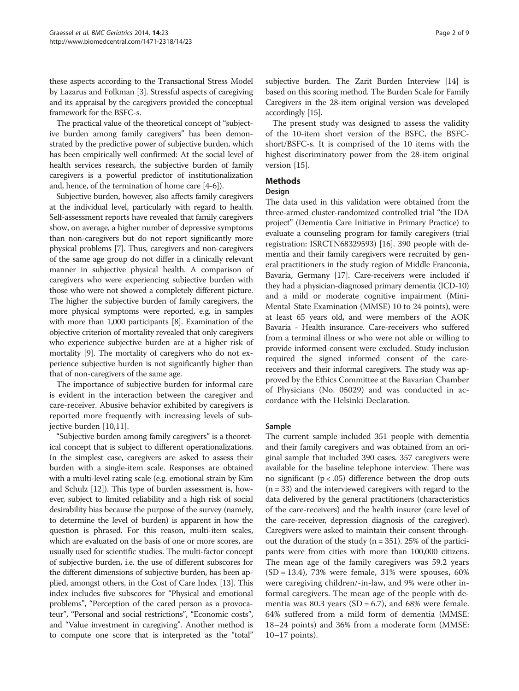these aspects according to the Transactional Stress Model by Lazarus and Folkman [\[3\]](#page-7-0). Stressful aspects of caregiving and its appraisal by the caregivers provided the conceptual framework for the BSFC-s.

The practical value of the theoretical concept of "subjective burden among family caregivers" has been demonstrated by the predictive power of subjective burden, which has been empirically well confirmed: At the social level of health services research, the subjective burden of family caregivers is a powerful predictor of institutionalization and, hence, of the termination of home care [[4-](#page-7-0)[6\]](#page-8-0)).

Subjective burden, however, also affects family caregivers at the individual level, particularly with regard to health. Self-assessment reports have revealed that family caregivers show, on average, a higher number of depressive symptoms than non-caregivers but do not report significantly more physical problems [\[7\]](#page-8-0). Thus, caregivers and non-caregivers of the same age group do not differ in a clinically relevant manner in subjective physical health. A comparison of caregivers who were experiencing subjective burden with those who were not showed a completely different picture. The higher the subjective burden of family caregivers, the more physical symptoms were reported, e.g. in samples with more than 1,000 participants [\[8\]](#page-8-0). Examination of the objective criterion of mortality revealed that only caregivers who experience subjective burden are at a higher risk of mortality [\[9](#page-8-0)]. The mortality of caregivers who do not experience subjective burden is not significantly higher than that of non-caregivers of the same age.

The importance of subjective burden for informal care is evident in the interaction between the caregiver and care-receiver. Abusive behavior exhibited by caregivers is reported more frequently with increasing levels of subjective burden [[10,11\]](#page-8-0).

"Subjective burden among family caregivers" is a theoretical concept that is subject to different operationalizations. In the simplest case, caregivers are asked to assess their burden with a single-item scale. Responses are obtained with a multi-level rating scale (e.g. emotional strain by Kim and Schulz [\[12\]](#page-8-0)). This type of burden assessment is, however, subject to limited reliability and a high risk of social desirability bias because the purpose of the survey (namely, to determine the level of burden) is apparent in how the question is phrased. For this reason, multi-item scales, which are evaluated on the basis of one or more scores, are usually used for scientific studies. The multi-factor concept of subjective burden, i.e. the use of different subscores for the different dimensions of subjective burden, has been applied, amongst others, in the Cost of Care Index [\[13\]](#page-8-0). This index includes five subscores for "Physical and emotional problems", "Perception of the cared person as a provocateur", "Personal and social restrictions", "Economic costs", and "Value investment in caregiving". Another method is to compute one score that is interpreted as the "total" subjective burden. The Zarit Burden Interview [\[14](#page-8-0)] is based on this scoring method. The Burden Scale for Family Caregivers in the 28-item original version was developed accordingly [[15](#page-8-0)].

The present study was designed to assess the validity of the 10-item short version of the BSFC, the BSFCshort/BSFC-s. It is comprised of the 10 items with the highest discriminatory power from the 28-item original version [\[15](#page-8-0)].

# Methods

## Design

The data used in this validation were obtained from the three-armed cluster-randomized controlled trial "the IDA project" (Dementia Care Initiative in Primary Practice) to evaluate a counseling program for family caregivers (trial registration: ISRCTN68329593) [[16](#page-8-0)]. 390 people with dementia and their family caregivers were recruited by general practitioners in the study region of Middle Franconia, Bavaria, Germany [[17](#page-8-0)]. Care-receivers were included if they had a physician-diagnosed primary dementia (ICD-10) and a mild or moderate cognitive impairment (Mini-Mental State Examination (MMSE) 10 to 24 points), were at least 65 years old, and were members of the AOK Bavaria - Health insurance. Care-receivers who suffered from a terminal illness or who were not able or willing to provide informed consent were excluded. Study inclusion required the signed informed consent of the carereceivers and their informal caregivers. The study was approved by the Ethics Committee at the Bavarian Chamber of Physicians (No. 05029) and was conducted in accordance with the Helsinki Declaration.

# Sample

The current sample included 351 people with dementia and their family caregivers and was obtained from an original sample that included 390 cases. 357 caregivers were available for the baseline telephone interview. There was no significant ( $p < .05$ ) difference between the drop outs  $(n = 33)$  and the interviewed caregivers with regard to the data delivered by the general practitioners (characteristics of the care-receivers) and the health insurer (care level of the care-receiver, depression diagnosis of the caregiver). Caregivers were asked to maintain their consent throughout the duration of the study ( $n = 351$ ). 25% of the participants were from cities with more than 100,000 citizens. The mean age of the family caregivers was 59.2 years (SD = 13.4), 73% were female, 31% were spouses, 60% were caregiving children/-in-law, and 9% were other informal caregivers. The mean age of the people with dementia was 80.3 years (SD = 6.7), and 68% were female. 64% suffered from a mild form of dementia (MMSE: 18–24 points) and 36% from a moderate form (MMSE: 10–17 points).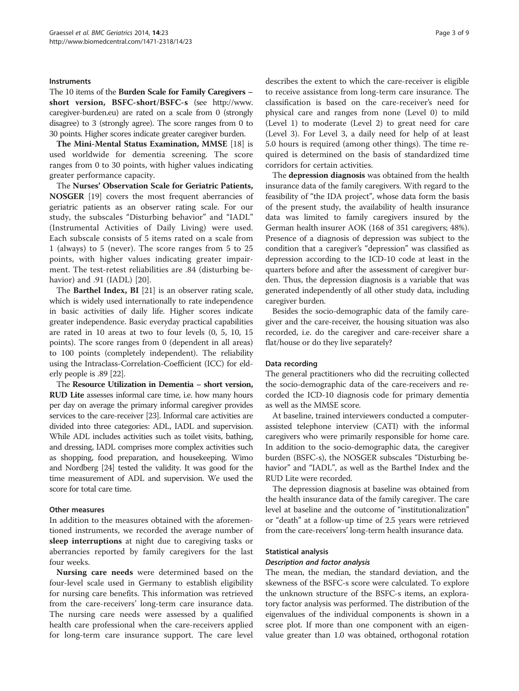#### **Instruments**

The 10 items of the Burden Scale for Family Caregivers – short version, BSFC-short/BSFC-s (see [http://www.](http://www.caregiver-burden.eu/) [caregiver-burden.eu](http://www.caregiver-burden.eu/)) are rated on a scale from 0 (strongly disagree) to 3 (strongly agree). The score ranges from 0 to 30 points. Higher scores indicate greater caregiver burden.

The Mini-Mental Status Examination, MMSE [[18](#page-8-0)] is used worldwide for dementia screening. The score ranges from 0 to 30 points, with higher values indicating greater performance capacity.

The Nurses' Observation Scale for Geriatric Patients, NOSGER [\[19\]](#page-8-0) covers the most frequent aberrancies of geriatric patients as an observer rating scale. For our study, the subscales "Disturbing behavior" and "IADL" (Instrumental Activities of Daily Living) were used. Each subscale consists of 5 items rated on a scale from 1 (always) to 5 (never). The score ranges from 5 to 25 points, with higher values indicating greater impairment. The test-retest reliabilities are .84 (disturbing behavior) and .91 (IADL) [\[20](#page-8-0)].

The Barthel Index, BI [[21](#page-8-0)] is an observer rating scale, which is widely used internationally to rate independence in basic activities of daily life. Higher scores indicate greater independence. Basic everyday practical capabilities are rated in 10 areas at two to four levels (0, 5, 10, 15 points). The score ranges from 0 (dependent in all areas) to 100 points (completely independent). The reliability using the Intraclass-Correlation-Coefficient (ICC) for elderly people is .89 [\[22\]](#page-8-0).

The Resource Utilization in Dementia – short version, RUD Lite assesses informal care time, i.e. how many hours per day on average the primary informal caregiver provides services to the care-receiver [\[23\]](#page-8-0). Informal care activities are divided into three categories: ADL, IADL and supervision. While ADL includes activities such as toilet visits, bathing, and dressing, IADL comprises more complex activities such as shopping, food preparation, and housekeeping. Wimo and Nordberg [\[24\]](#page-8-0) tested the validity. It was good for the time measurement of ADL and supervision. We used the score for total care time.

## Other measures

In addition to the measures obtained with the aforementioned instruments, we recorded the average number of sleep interruptions at night due to caregiving tasks or aberrancies reported by family caregivers for the last four weeks.

Nursing care needs were determined based on the four-level scale used in Germany to establish eligibility for nursing care benefits. This information was retrieved from the care-receivers' long-term care insurance data. The nursing care needs were assessed by a qualified health care professional when the care-receivers applied for long-term care insurance support. The care level describes the extent to which the care-receiver is eligible to receive assistance from long-term care insurance. The classification is based on the care-receiver's need for physical care and ranges from none (Level 0) to mild (Level 1) to moderate (Level 2) to great need for care (Level 3). For Level 3, a daily need for help of at least 5.0 hours is required (among other things). The time required is determined on the basis of standardized time corridors for certain activities.

The **depression diagnosis** was obtained from the health insurance data of the family caregivers. With regard to the feasibility of "the IDA project", whose data form the basis of the present study, the availability of health insurance data was limited to family caregivers insured by the German health insurer AOK (168 of 351 caregivers; 48%). Presence of a diagnosis of depression was subject to the condition that a caregiver's "depression" was classified as depression according to the ICD-10 code at least in the quarters before and after the assessment of caregiver burden. Thus, the depression diagnosis is a variable that was generated independently of all other study data, including caregiver burden.

Besides the socio-demographic data of the family caregiver and the care-receiver, the housing situation was also recorded, i.e. do the caregiver and care-receiver share a flat/house or do they live separately?

#### Data recording

The general practitioners who did the recruiting collected the socio-demographic data of the care-receivers and recorded the ICD-10 diagnosis code for primary dementia as well as the MMSE score.

At baseline, trained interviewers conducted a computerassisted telephone interview (CATI) with the informal caregivers who were primarily responsible for home care. In addition to the socio-demographic data, the caregiver burden (BSFC-s), the NOSGER subscales "Disturbing behavior" and "IADL", as well as the Barthel Index and the RUD Lite were recorded.

The depression diagnosis at baseline was obtained from the health insurance data of the family caregiver. The care level at baseline and the outcome of "institutionalization" or "death" at a follow-up time of 2.5 years were retrieved from the care-receivers' long-term health insurance data.

#### Statistical analysis

#### Description and factor analysis

The mean, the median, the standard deviation, and the skewness of the BSFC-s score were calculated. To explore the unknown structure of the BSFC-s items, an exploratory factor analysis was performed. The distribution of the eigenvalues of the individual components is shown in a scree plot. If more than one component with an eigenvalue greater than 1.0 was obtained, orthogonal rotation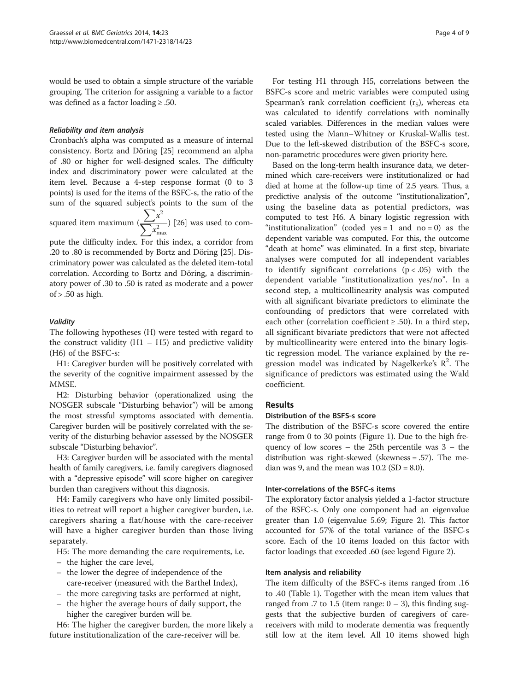would be used to obtain a simple structure of the variable grouping. The criterion for assigning a variable to a factor was defined as a factor loading ≥ .50.

## Reliability and item analysis

Cronbach's alpha was computed as a measure of internal consistency. Bortz and Döring [\[25\]](#page-8-0) recommend an alpha of .80 or higher for well-designed scales. The difficulty index and discriminatory power were calculated at the item level. Because a 4-step response format (0 to 3 points) is used for the items of the BSFC-s, the ratio of the sum of the squared subject's points to the sum of the  $\sum_{x^2}$ 

squared item maximum (  $\sum x_{\rm max}^2$ ) [\[26\]](#page-8-0) was used to com-

pute the difficulty index. For this index, a corridor from .20 to .80 is recommended by Bortz and Döring [[25](#page-8-0)]. Discriminatory power was calculated as the deleted item-total correlation. According to Bortz and Döring, a discriminatory power of .30 to .50 is rated as moderate and a power of  $> 0.50$  as high.

# Validity

The following hypotheses (H) were tested with regard to the construct validity  $(H1 - H5)$  and predictive validity (H6) of the BSFC-s:

H1: Caregiver burden will be positively correlated with the severity of the cognitive impairment assessed by the MMSE.

H2: Disturbing behavior (operationalized using the NOSGER subscale "Disturbing behavior") will be among the most stressful symptoms associated with dementia. Caregiver burden will be positively correlated with the severity of the disturbing behavior assessed by the NOSGER subscale "Disturbing behavior".

H3: Caregiver burden will be associated with the mental health of family caregivers, i.e. family caregivers diagnosed with a "depressive episode" will score higher on caregiver burden than caregivers without this diagnosis.

H4: Family caregivers who have only limited possibilities to retreat will report a higher caregiver burden, i.e. caregivers sharing a flat/house with the care-receiver will have a higher caregiver burden than those living separately.

H5: The more demanding the care requirements, i.e.

- the higher the care level,
- the lower the degree of independence of the care-receiver (measured with the Barthel Index),
- the more caregiving tasks are performed at night,
- the higher the average hours of daily support, the higher the caregiver burden will be.

H6: The higher the caregiver burden, the more likely a future institutionalization of the care-receiver will be.

For testing H1 through H5, correlations between the BSFC-s score and metric variables were computed using Spearman's rank correlation coefficient  $(r<sub>S</sub>)$ , whereas eta was calculated to identify correlations with nominally scaled variables. Differences in the median values were tested using the Mann–Whitney or Kruskal-Wallis test. Due to the left-skewed distribution of the BSFC-s score, non-parametric procedures were given priority here.

Based on the long-term health insurance data, we determined which care-receivers were institutionalized or had died at home at the follow-up time of 2.5 years. Thus, a predictive analysis of the outcome "institutionalization", using the baseline data as potential predictors, was computed to test H6. A binary logistic regression with "institutionalization" (coded yes = 1 and no = 0) as the dependent variable was computed. For this, the outcome "death at home" was eliminated. In a first step, bivariate analyses were computed for all independent variables to identify significant correlations  $(p < .05)$  with the dependent variable "institutionalization yes/no". In a second step, a multicollinearity analysis was computed with all significant bivariate predictors to eliminate the confounding of predictors that were correlated with each other (correlation coefficient  $\ge$  .50). In a third step, all significant bivariate predictors that were not affected by multicollinearity were entered into the binary logistic regression model. The variance explained by the regression model was indicated by Nagelkerke's  $\mathbb{R}^2$ . The significance of predictors was estimated using the Wald coefficient.

# Results

# Distribution of the BSFS-s score

The distribution of the BSFC-s score covered the entire range from 0 to 30 points (Figure [1\)](#page-4-0). Due to the high frequency of low scores – the 25th percentile was 3 – the distribution was right-skewed (skewness = .57). The median was 9, and the mean was  $10.2$  (SD = 8.0).

## Inter-correlations of the BSFC-s items

The exploratory factor analysis yielded a 1-factor structure of the BSFC-s. Only one component had an eigenvalue greater than 1.0 (eigenvalue 5.69; Figure [2](#page-4-0)). This factor accounted for 57% of the total variance of the BSFC-s score. Each of the 10 items loaded on this factor with factor loadings that exceeded .60 (see legend Figure [2](#page-4-0)).

#### Item analysis and reliability

The item difficulty of the BSFC-s items ranged from .16 to .40 (Table [1\)](#page-5-0). Together with the mean item values that ranged from .7 to 1.5 (item range:  $0 - 3$ ), this finding suggests that the subjective burden of caregivers of carereceivers with mild to moderate dementia was frequently still low at the item level. All 10 items showed high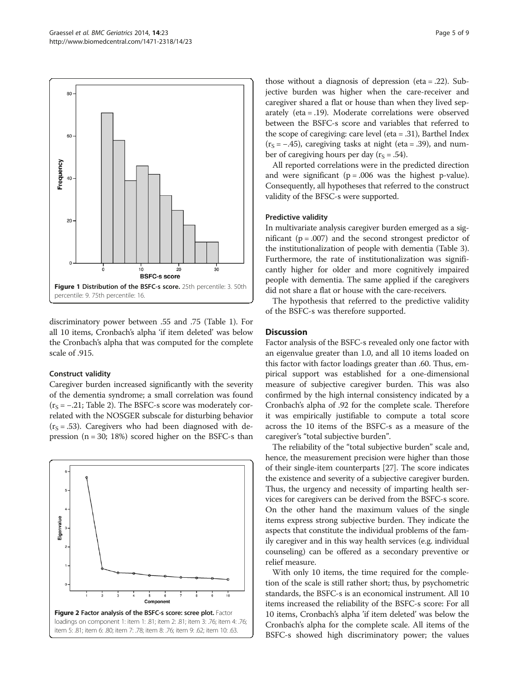<span id="page-4-0"></span>

discriminatory power between .55 and .75 (Table [1\)](#page-5-0). For all 10 items, Cronbach's alpha 'if item deleted' was below the Cronbach's alpha that was computed for the complete scale of .915.

#### Construct validity

Caregiver burden increased significantly with the severity of the dementia syndrome; a small correlation was found  $(r<sub>S</sub> = -.21; Table 2)$  $(r<sub>S</sub> = -.21; Table 2)$ . The BSFC-s score was moderately correlated with the NOSGER subscale for disturbing behavior  $(r<sub>S</sub> = .53)$ . Caregivers who had been diagnosed with depression  $(n = 30; 18%)$  scored higher on the BSFC-s than



those without a diagnosis of depression (eta = .22). Subjective burden was higher when the care-receiver and caregiver shared a flat or house than when they lived separately (eta = .19). Moderate correlations were observed between the BSFC-s score and variables that referred to the scope of caregiving: care level (eta = .31), Barthel Index  $(r<sub>S</sub> = -.45)$ , caregiving tasks at night (eta = .39), and number of caregiving hours per day  $(r<sub>S</sub> = .54)$ .

All reported correlations were in the predicted direction and were significant  $(p = .006$  was the highest p-value). Consequently, all hypotheses that referred to the construct validity of the BFSC-s were supported.

## Predictive validity

In multivariate analysis caregiver burden emerged as a significant ( $p = .007$ ) and the second strongest predictor of the institutionalization of people with dementia (Table [3](#page-6-0)). Furthermore, the rate of institutionalization was significantly higher for older and more cognitively impaired people with dementia. The same applied if the caregivers did not share a flat or house with the care-receivers.

The hypothesis that referred to the predictive validity of the BSFC-s was therefore supported.

#### **Discussion**

Factor analysis of the BSFC-s revealed only one factor with an eigenvalue greater than 1.0, and all 10 items loaded on this factor with factor loadings greater than .60. Thus, empirical support was established for a one-dimensional measure of subjective caregiver burden. This was also confirmed by the high internal consistency indicated by a Cronbach's alpha of .92 for the complete scale. Therefore it was empirically justifiable to compute a total score across the 10 items of the BSFC-s as a measure of the caregiver's "total subjective burden".

The reliability of the "total subjective burden" scale and, hence, the measurement precision were higher than those of their single-item counterparts [\[27\]](#page-8-0). The score indicates the existence and severity of a subjective caregiver burden. Thus, the urgency and necessity of imparting health services for caregivers can be derived from the BSFC-s score. On the other hand the maximum values of the single items express strong subjective burden. They indicate the aspects that constitute the individual problems of the family caregiver and in this way health services (e.g. individual counseling) can be offered as a secondary preventive or relief measure.

With only 10 items, the time required for the completion of the scale is still rather short; thus, by psychometric standards, the BSFC-s is an economical instrument. All 10 items increased the reliability of the BSFC-s score: For all 10 items, Cronbach's alpha 'if item deleted' was below the Cronbach's alpha for the complete scale. All items of the BSFC-s showed high discriminatory power; the values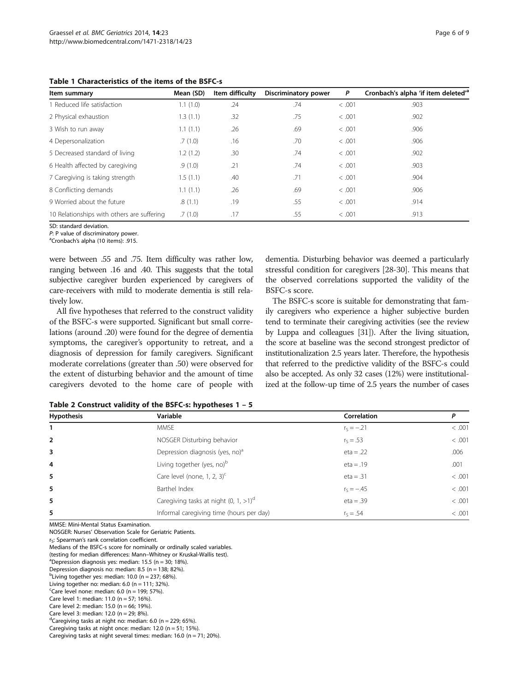<span id="page-5-0"></span>

| Item summary                               | Mean (SD) | Item difficulty | <b>Discriminatory power</b> | P      | Cronbach's alpha 'if item deleted' <sup>a</sup> |  |
|--------------------------------------------|-----------|-----------------|-----------------------------|--------|-------------------------------------------------|--|
| <b>Reduced life satisfaction</b>           | 1.1(1.0)  | .24             | .74                         | < .001 | .903                                            |  |
| 2 Physical exhaustion                      | 1.3(1.1)  | .32             | .75                         | < .001 | .902                                            |  |
| 3 Wish to run away                         | 1.1(1.1)  | .26             | .69                         | < .001 | .906                                            |  |
| 4 Depersonalization                        | .7(1.0)   | .16             | .70                         | < .001 | .906                                            |  |
| 5 Decreased standard of living             | 1.2(1.2)  | .30             | .74                         | < .001 | .902                                            |  |
| 6 Health affected by caregiving            | .9(1.0)   | .21             | .74                         | < .001 | .903                                            |  |
| 7 Caregiving is taking strength            | 1.5(1.1)  | .40             | .71                         | < .001 | .904                                            |  |
| 8 Conflicting demands                      | 1.1(1.1)  | .26             | .69                         | < .001 | .906                                            |  |
| 9 Worried about the future                 | .8(1.1)   | .19             | .55                         | < .001 | .914                                            |  |
| 10 Relationships with others are suffering | .7(1.0)   | .17             | .55                         | < .001 | .913                                            |  |

SD: standard deviation.

P: P value of discriminatory power.

<sup>a</sup>Cronbach's alpha (10 items): .915.

were between .55 and .75. Item difficulty was rather low, ranging between .16 and .40. This suggests that the total subjective caregiver burden experienced by caregivers of care-receivers with mild to moderate dementia is still relatively low.

All five hypotheses that referred to the construct validity of the BSFC-s were supported. Significant but small correlations (around .20) were found for the degree of dementia symptoms, the caregiver's opportunity to retreat, and a diagnosis of depression for family caregivers. Significant moderate correlations (greater than .50) were observed for the extent of disturbing behavior and the amount of time caregivers devoted to the home care of people with dementia. Disturbing behavior was deemed a particularly stressful condition for caregivers [\[28-30\]](#page-8-0). This means that the observed correlations supported the validity of the BSFC-s score.

The BSFC-s score is suitable for demonstrating that family caregivers who experience a higher subjective burden tend to terminate their caregiving activities (see the review by Luppa and colleagues [[31](#page-8-0)]). After the living situation, the score at baseline was the second strongest predictor of institutionalization 2.5 years later. Therefore, the hypothesis that referred to the predictive validity of the BSFC-s could also be accepted. As only 32 cases (12%) were institutionalized at the follow-up time of 2.5 years the number of cases

Table 2 Construct validity of the BSFC-s: hypotheses 1 – 5

| <b>Hypothesis</b>       | Variable                                    | Correlation  | P      |
|-------------------------|---------------------------------------------|--------------|--------|
| 1                       | MMSE                                        | $r_S = -.21$ | < .001 |
| $\overline{2}$          | NOSGER Disturbing behavior                  | $r_s = .53$  | < .001 |
| $\overline{\mathbf{3}}$ | Depression diagnosis (yes, no) <sup>a</sup> | $eta = .22$  | .006   |
| $\overline{4}$          | Living together (yes, no)b                  | $eta = .19$  | .001   |
| 5                       | Care level (none, 1, 2, 3) $c$              | $eta = .31$  | < .001 |
| 5                       | Barthel Index                               | $r_S = -.45$ | < .001 |
| 5                       | Caregiving tasks at night $(0, 1, >1)^d$    | $eta = .39$  | < .001 |
| 5                       | Informal caregiving time (hours per day)    | $r_s = .54$  | < .001 |

MMSE: Mini-Mental Status Examination.

NOSGER: Nurses' Observation Scale for Geriatric Patients.

r<sub>s</sub>: Spearman's rank correlation coefficient.

Medians of the BSFC-s score for nominally or ordinally scaled variables.

(testing for median differences: Mann-Whitney or Kruskal-Wallis test).

- <sup>a</sup>Depression diagnosis yes: median: 15.5 (n = 30; 18%).
- Depression diagnosis no: median: 8.5 (n = 138; 82%).

 $b$ Living together yes: median: 10.0 (n = 237; 68%).

Living together no: median: 6.0 ( $n = 111$ ; 32%).

 $c$ Care level none: median: 6.0 (n = 199; 57%).

<sup>d</sup>Caregiving tasks at night no: median: 6.0 (n = 229; 65%).

Caregiving tasks at night once: median: 12.0 (n = 51; 15%).

Care level 1: median: 11.0 (n = 57; 16%).

Care level 2: median: 15.0 (n = 66; 19%).

Care level 3: median: 12.0 (n = 29; 8%).

Caregiving tasks at night several times: median: 16.0 (n = 71; 20%).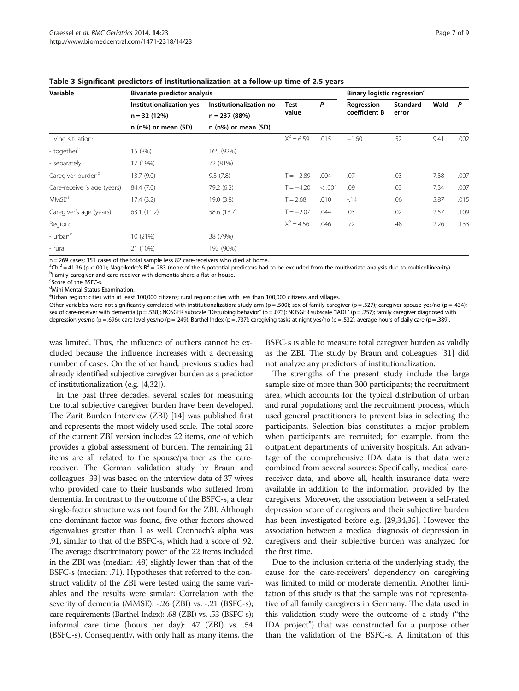| Variable                      | <b>Bivariate predictor analysis</b>                      |                         |              |        | Binary logistic regression <sup>a</sup> |                 |      |      |
|-------------------------------|----------------------------------------------------------|-------------------------|--------------|--------|-----------------------------------------|-----------------|------|------|
|                               | Institutionalization yes                                 | Institutionalization no | Test         | P      | Regression                              | <b>Standard</b> | Wald | P    |
|                               | $n = 32(12%)$                                            | $n = 237(88%)$          | value        |        | coefficient B                           | error           |      |      |
|                               | $n$ ( $n\%$ ) or mean (SD)<br>$n$ ( $n\%$ ) or mean (SD) |                         |              |        |                                         |                 |      |      |
| Living situation:             |                                                          |                         | $X^2 = 6.59$ | .015   | $-1.60$                                 | .52             | 9.41 | .002 |
| - together <sup>b</sup>       | 15 (8%)                                                  | 165 (92%)               |              |        |                                         |                 |      |      |
| - separately                  | 17 (19%)                                                 | 72 (81%)                |              |        |                                         |                 |      |      |
| Caregiver burden <sup>c</sup> | 13.7(9.0)                                                | 9.3(7.8)                | $T = -2.89$  | .004   | .07                                     | .03             | 7.38 | .007 |
| Care-receiver's age (years)   | 84.4 (7.0)                                               | 79.2 (6.2)              | $T = -4.20$  | < .001 | .09                                     | .03             | 7.34 | .007 |
| <b>MMSE<sup>d</sup></b>       | 17.4(3.2)                                                | 19.0 (3.8)              | $T = 2.68$   | .010   | $-14$                                   | .06             | 5.87 | .015 |
| Caregiver's age (years)       | 63.1(11.2)                                               | 58.6 (13.7)             | $T = -2.07$  | .044   | .03                                     | .02             | 2.57 | .109 |
| Region:                       |                                                          |                         | $X^2 = 4.56$ | .046   | .72                                     | .48             | 2.26 | .133 |
| - urban <sup>e</sup>          | 10 (21%)                                                 | 38 (79%)                |              |        |                                         |                 |      |      |
| - rural                       | 21 (10%)                                                 | 193 (90%)               |              |        |                                         |                 |      |      |

<span id="page-6-0"></span>

|  | Table 3 Significant predictors of institutionalization at a follow-up time of 2.5 years |  |  |  |
|--|-----------------------------------------------------------------------------------------|--|--|--|
|--|-----------------------------------------------------------------------------------------|--|--|--|

n = 269 cases; 351 cases of the total sample less 82 care-receivers who died at home.

 ${}^a$ Chi<sup>2</sup> = 41.36 (p < .001); Nagelkerke's R<sup>2</sup> = .283 (none of the 6 potential predictors had to be excluded from the multivariate analysis due to multicollinearity). <sup>b</sup>Family caregiver and care-receiver with dementia share a flat or house.

<sup>c</sup>Score of the BSFC-s.

<sup>d</sup>Mini-Mental Status Examination.

eUrban region: cities with at least 100,000 citizens; rural region: cities with less than 100,000 citizens and villages.

Other variables were not significantly correlated with institutionalization: study arm ( $p = .500$ ); sex of family caregiver ( $p = .527$ ); caregiver spouse yes/no ( $p = .434$ ); sex of care-receiver with dementia (p = .538); NOSGER subscale "Disturbing behavior" (p = .073); NOSGER subscale "IADL" (p = .257); family caregiver diagnosed with depression yes/no (p = .696); care level yes/no (p = .249); Barthel Index (p = .737); caregiving tasks at night yes/no (p = .532); average hours of daily care (p = .389).

was limited. Thus, the influence of outliers cannot be excluded because the influence increases with a decreasing number of cases. On the other hand, previous studies had already identified subjective caregiver burden as a predictor of institutionalization (e.g. [\[4,](#page-7-0)[32](#page-8-0)]).

In the past three decades, several scales for measuring the total subjective caregiver burden have been developed. The Zarit Burden Interview (ZBI) [\[14\]](#page-8-0) was published first and represents the most widely used scale. The total score of the current ZBI version includes 22 items, one of which provides a global assessment of burden. The remaining 21 items are all related to the spouse/partner as the carereceiver. The German validation study by Braun and colleagues [[33](#page-8-0)] was based on the interview data of 37 wives who provided care to their husbands who suffered from dementia. In contrast to the outcome of the BSFC-s, a clear single-factor structure was not found for the ZBI. Although one dominant factor was found, five other factors showed eigenvalues greater than 1 as well. Cronbach's alpha was .91, similar to that of the BSFC-s, which had a score of .92. The average discriminatory power of the 22 items included in the ZBI was (median: .48) slightly lower than that of the BSFC-s (median: .71). Hypotheses that referred to the construct validity of the ZBI were tested using the same variables and the results were similar: Correlation with the severity of dementia (MMSE): -.26 (ZBI) vs. -.21 (BSFC-s); care requirements (Barthel Index): .68 (ZBI) vs. .53 (BSFC-s); informal care time (hours per day): .47 (ZBI) vs. .54 (BSFC-s). Consequently, with only half as many items, the

BSFC-s is able to measure total caregiver burden as validly as the ZBI. The study by Braun and colleagues [\[31\]](#page-8-0) did not analyze any predictors of institutionalization.

The strengths of the present study include the large sample size of more than 300 participants; the recruitment area, which accounts for the typical distribution of urban and rural populations; and the recruitment process, which used general practitioners to prevent bias in selecting the participants. Selection bias constitutes a major problem when participants are recruited; for example, from the outpatient departments of university hospitals. An advantage of the comprehensive IDA data is that data were combined from several sources: Specifically, medical carereceiver data, and above all, health insurance data were available in addition to the information provided by the caregivers. Moreover, the association between a self-rated depression score of caregivers and their subjective burden has been investigated before e.g. [\[29,34,35](#page-8-0)]. However the association between a medical diagnosis of depression in caregivers and their subjective burden was analyzed for the first time.

Due to the inclusion criteria of the underlying study, the cause for the care-receivers' dependency on caregiving was limited to mild or moderate dementia. Another limitation of this study is that the sample was not representative of all family caregivers in Germany. The data used in this validation study were the outcome of a study ("the IDA project") that was constructed for a purpose other than the validation of the BSFC-s. A limitation of this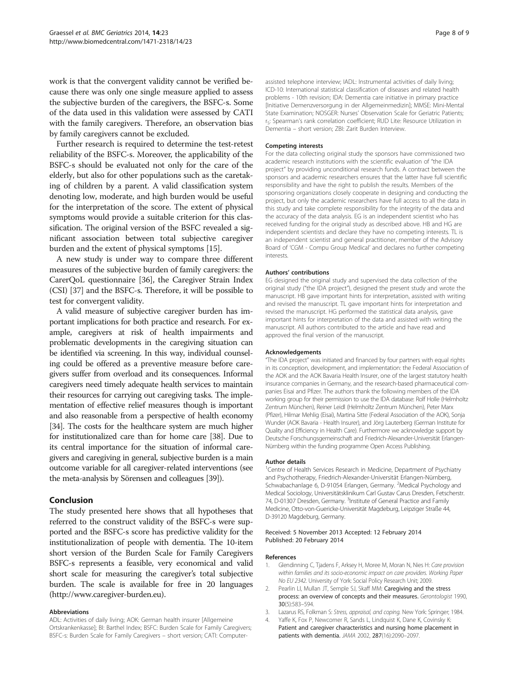<span id="page-7-0"></span>work is that the convergent validity cannot be verified because there was only one single measure applied to assess the subjective burden of the caregivers, the BSFC-s. Some of the data used in this validation were assessed by CATI with the family caregivers. Therefore, an observation bias by family caregivers cannot be excluded.

Further research is required to determine the test-retest reliability of the BSFC-s. Moreover, the applicability of the BSFC-s should be evaluated not only for the care of the elderly, but also for other populations such as the caretaking of children by a parent. A valid classification system denoting low, moderate, and high burden would be useful for the interpretation of the score. The extent of physical symptoms would provide a suitable criterion for this classification. The original version of the BSFC revealed a significant association between total subjective caregiver burden and the extent of physical symptoms [[15\]](#page-8-0).

A new study is under way to compare three different measures of the subjective burden of family caregivers: the CarerQoL questionnaire [\[36](#page-8-0)], the Caregiver Strain Index (CSI) [\[37](#page-8-0)] and the BSFC-s. Therefore, it will be possible to test for convergent validity.

A valid measure of subjective caregiver burden has important implications for both practice and research. For example, caregivers at risk of health impairments and problematic developments in the caregiving situation can be identified via screening. In this way, individual counseling could be offered as a preventive measure before caregivers suffer from overload and its consequences. Informal caregivers need timely adequate health services to maintain their resources for carrying out caregiving tasks. The implementation of effective relief measures though is important and also reasonable from a perspective of health economy [[34](#page-8-0)]. The costs for the healthcare system are much higher for institutionalized care than for home care [\[38](#page-8-0)]. Due to its central importance for the situation of informal caregivers and caregiving in general, subjective burden is a main outcome variable for all caregiver-related interventions (see the meta-analysis by Sörensen and colleagues [\[39\]](#page-8-0)).

#### Conclusion

The study presented here shows that all hypotheses that referred to the construct validity of the BSFC-s were supported and the BSFC-s score has predictive validity for the institutionalization of people with dementia. The 10-item short version of the Burden Scale for Family Caregivers BSFC-s represents a feasible, very economical and valid short scale for measuring the caregiver's total subjective burden. The scale is available for free in 20 languages ([http://www.caregiver-burden.eu](http://www.caregiver-burden.eu/)).

#### Abbreviations

ADL: Activities of daily living; AOK: German health insurer [Allgemeine Ortskrankenkasse]; BI: Barthel Index; BSFC: Burden Scale for Family Caregivers; BSFC-s: Burden Scale for Family Caregivers – short version; CATI: Computer-

assisted telephone interview; IADL: Instrumental activities of daily living; ICD-10: International statistical classification of diseases and related health problems - 10th revision; IDA: Dementia care initiative in primary practice [Initiative Demenzversorgung in der Allgemeinmedizin]; MMSE: Mini-Mental State Examination; NOSGER: Nurses' Observation Scale for Geriatric Patients; r<sub>s</sub>: Spearman's rank correlation coefficient; RUD Lite: Resource Utilization in Dementia – short version; ZBI: Zarit Burden Interview.

#### Competing interests

For the data collecting original study the sponsors have commissioned two academic research institutions with the scientific evaluation of "the IDA project" by providing unconditional research funds. A contract between the sponsors and academic researchers ensures that the latter have full scientific responsibility and have the right to publish the results. Members of the sponsoring organizations closely cooperate in designing and conducting the project, but only the academic researchers have full access to all the data in this study and take complete responsibility for the integrity of the data and the accuracy of the data analysis. EG is an independent scientist who has received funding for the original study as described above. HB and HG are independent scientists and declare they have no competing interests. TL is an independent scientist and general practitioner, member of the Advisory Board of 'CGM - Compu Group Medical' and declares no further competing interests.

#### Authors' contributions

EG designed the original study and supervised the data collection of the original study ("the IDA project"), designed the present study and wrote the manuscript. HB gave important hints for interpretation, assisted with writing and revised the manuscript. TL gave important hints for interpretation and revised the manuscript. HG performed the statistical data analysis, gave important hints for interpretation of the data and assisted with writing the manuscript. All authors contributed to the article and have read and approved the final version of the manuscript.

#### Acknowledgements

"The IDA project" was initiated and financed by four partners with equal rights in its conception, development, and implementation: the Federal Association of the AOK and the AOK Bavaria Health Insurer, one of the largest statutory health insurance companies in Germany, and the research-based pharmaceutical companies Eisai and Pfizer. The authors thank the following members of the IDA working group for their permission to use the IDA database: Rolf Holle (Helmholtz Zentrum München), Reiner Leidl (Helmholtz Zentrum München), Peter Marx (Pfizer), Hilmar Mehlig (Eisai), Martina Sitte (Federal Association of the AOK), Sonja Wunder (AOK Bavaria - Health Insurer), and Jörg Lauterberg (German Institute for Quality and Efficiency in Health Care). Furthermore we acknowledge support by Deutsche Forschungsgemeinschaft and Friedrich-Alexander-Universität Erlangen-Nürnberg within the funding programme Open Access Publishing.

#### Author details

<sup>1</sup> Centre of Health Services Research in Medicine, Department of Psychiatry and Psychotherapy, Friedrich-Alexander-Universität Erlangen-Nürnberg, Schwabachanlage 6, D-91054 Erlangen, Germany. <sup>2</sup>Medical Psychology and Medical Sociology, Universitätsklinikum Carl Gustav Carus Dresden, Fetscherstr. 74, D-01307 Dresden, Germany. <sup>3</sup>Institute of General Practice and Family Medicine, Otto-von-Guericke-Universität Magdeburg, Leipziger Straße 44, D-39120 Magdeburg, Germany.

#### Received: 5 November 2013 Accepted: 12 February 2014 Published: 20 February 2014

#### References

- Glendinning C, Tjadens F, Arksey H, Moree M, Moran N, Nies H: Care provision within families and its socio-economic impact on care providers. Working Paper No EU 2342. University of York: Social Policy Research Unit; 2009.
- 2. Pearlin LI, Mullan JT, Semple SJ, Skaff MM: Caregiving and the stress process: an overview of concepts and their measures. Gerontologist 1990, 30(5):583–594.
- 3. Lazarus RS, Folkman S: Stress, appraisal, and coping. New York: Springer; 1984.
- 4. Yaffe K, Fox P, Newcomer R, Sands L, Lindquist K, Dane K, Covinsky K: Patient and caregiver characteristics and nursing home placement in patients with dementia. JAMA 2002, 287(16):2090–2097.